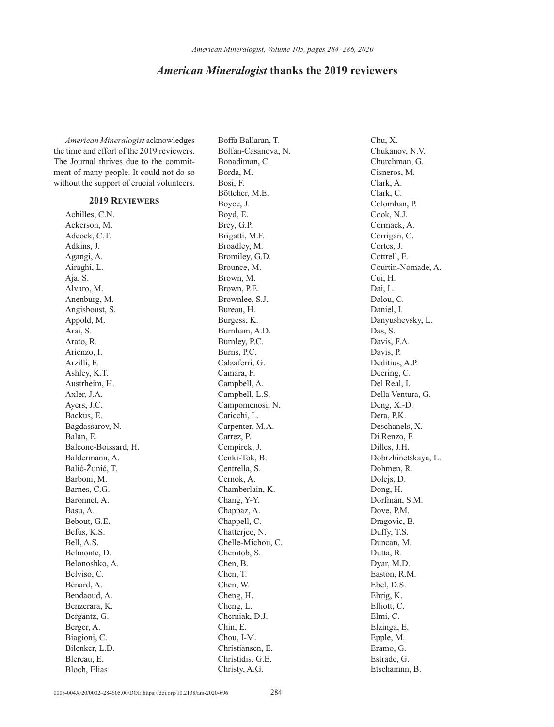## *American Mineralogist* **thanks the 2019 reviewers**

*American Mineralogist* acknowledges the time and effort of the 2019 reviewers. The Journal thrives due to the commitment of many people. It could not do so without the support of crucial volunteers.

## **2019 Reviewers**

Achilles, C.N. Ackerson, M. Adcock, C.T. Adkins, J. Agangi, A. Airaghi, L. Aja, S. Alvaro, M. Anenburg, M. Angisboust, S. Appold, M. Arai, S. Arato, R. Arienzo, I. Arzilli, F. Ashley, K.T. Austrheim, H. Axler, J.A. Ayers, J.C. Backus, E. Bagdassarov, N. Balan, E. Balcone-Boissard, H. Baldermann, A. Balić-Žunić, T. Barboni, M. Barnes, C.G. Baronnet, A. Basu, A. Bebout, G.E. Befus, K.S. Bell, A.S. Belmonte, D. Belonoshko, A. Belviso, C. Bénard, A. Bendaoud, A. Benzerara, K. Bergantz, G. Berger, A. Biagioni, C. Bilenker, L.D. Blereau, E. Bloch, Elias

Boffa Ballaran, T. Bolfan-Casanova, N. Bonadiman, C. Borda, M. Bosi, F. Böttcher, M.E. Boyce, J. Boyd, E. Brey, G.P. Brigatti, M.F. Broadley, M. Bromiley, G.D. Brounce, M. Brown, M. Brown, P.E. Brownlee, S.J. Bureau, H. Burgess, K. Burnham, A.D. Burnley, P.C. Burns, P.C. Calzaferri, G. Camara, F. Campbell, A. Campbell, L.S. Campomenosi, N. Caricchi, L. Carpenter, M.A. Carrez, P. Cempírek, J. Cenki-Tok, B. Centrella, S. Cernok, A. Chamberlain, K. Chang, Y-Y. Chappaz, A. Chappell, C. Chatterjee, N. Chelle-Michou, C. Chemtob, S. Chen, B. Chen, T. Chen, W. Cheng, H. Cheng, L. Cherniak, D.J. Chin, E. Chou, I-M. Christiansen, E. Christidis, G.E. Christy, A.G.

Chu, X. Chukanov, N.V. Churchman, G. Cisneros, M. Clark, A. Clark, C. Colomban, P. Cook, N.J. Cormack, A. Corrigan, C. Cortes, J. Cottrell, E. Courtin-Nomade, A. Cui, H. Dai, L. Dalou, C. Daniel, I. Danyushevsky, L. Das, S. Davis, F.A. Davis, P. Deditius, A.P. Deering, C. Del Real, I. Della Ventura, G. Deng, X.-D. Dera, P.K. Deschanels, X. Di Renzo, F. Dilles, J.H. Dobrzhinetskaya, L. Dohmen, R. Dolejs, D. Dong, H. Dorfman, S.M. Dove, P.M. Dragovic, B. Duffy, T.S. Duncan, M. Dutta, R. Dyar, M.D. Easton, R.M. Ebel, D.S. Ehrig, K. Elliott, C. Elmi, C. Elzinga, E. Epple, M. Eramo, G. Estrade, G. Etschamnn, B.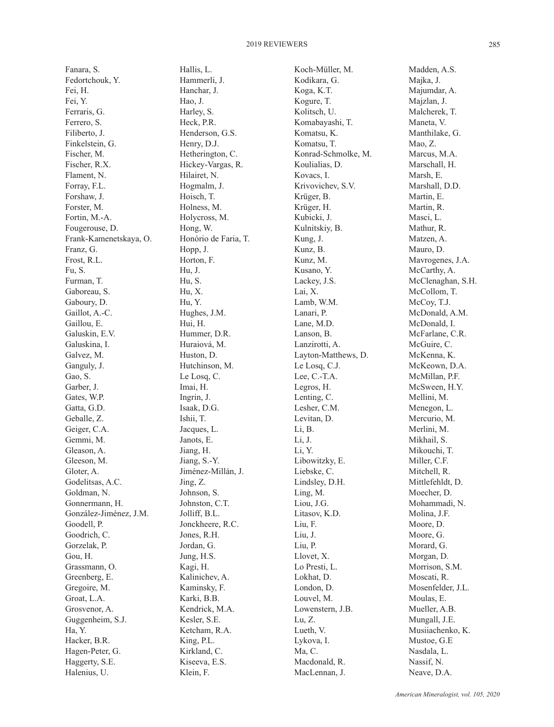Fanara, S. Fedortchouk, Y. Fei, H. Fei, Y. Ferraris, G. Ferrero, S. Filiberto, J. Finkelstein, G. Fischer, M. Fischer, R.X. Flament, N. Forray, F.L. Forshaw, J. Forster, M. Fortin, M.-A. Fougerouse, D. Frank-Kamenetskaya, O. Franz, G. Frost, R.L. Fu, S. Furman, T. Gaboreau, S. Gaboury, D. Gaillot, A.-C. Gaillou, E. Galuskin, E.V. Galuskina, I. Galvez, M. Ganguly, J. Gao, S. Garber, J. Gates, W.P. Gatta, G.D. Geballe, Z. Geiger, C.A. Gemmi, M. Gleason, A. Gleeson, M. Gloter, A. Godelitsas, A.C. Goldman, N. Gonnermann, H. González-Jiménez, J.M. Goodell, P. Goodrich, C. Gorzelak, P. Gou, H. Grassmann, O. Greenberg, E. Gregoire, M. Groat, L.A. Grosvenor, A. Guggenheim, S.J. Ha, Y. Hacker, B.R. Hagen-Peter, G. Haggerty, S.E. Halenius, U.

Hallis, L. Hammerli, J. Hanchar, J. Hao, J. Harley, S. Heck, P.R. Henderson, G.S. Henry, D.J. Hetherington, C. Hickey-Vargas, R. Hilairet, N. Hogmalm, J. Hoisch, T. Holness, M. Holycross, M. Hong, W. Honório de Faria, T. Hopp, J. Horton, F. Hu, J. Hu, S. Hu, X. Hu, Y. Hughes, J.M. Hui, H. Hummer, D.R. Huraiová, M. Huston, D. Hutchinson, M. Le Losq, C. Imai, H. Ingrin, J. Isaak, D.G. Ishii, T. Jacques, L. Janots, E. Jiang, H. Jiang, S.-Y. Jiménez-Millán, J. Jing, Z. Johnson, S. Johnston, C.T. Jolliff, B.L. Jonckheere, R.C. Jones, R.H. Jordan, G. Jung, H.S. Kagi, H. Kalinichev, A. Kaminsky, F. Karki, B.B. Kendrick, M.A. Kesler, S.E. Ketcham, R.A. King, P.L. Kirkland, C. Kiseeva, E.S. Klein, F.

Koch-Müller, M. Kodikara, G. Koga, K.T. Kogure, T. Kolitsch, U. Komabayashi, T. Komatsu, K. Komatsu, T. Konrad-Schmolke, M. Koulialias, D. Kovacs, I. Krivovichev, S.V. Krüger, B. Krüger, H. Kubicki, J. Kulnitskiy, B. Kung, J. Kunz, B. Kunz, M. Kusano, Y. Lackey, J.S. Lai, X. Lamb, W.M. Lanari, P. Lane, M.D. Lanson, B. Lanzirotti, A. Layton-Matthews, D. Le Losq, C.J. Lee, C.-T.A. Legros, H. Lenting, C. Lesher, C.M. Levitan, D. Li, B. Li, J. Li, Y. Libowitzky, E. Liebske, C. Lindsley, D.H. Ling, M. Liou, J.G. Litasov, K.D. Liu, F. Liu, J. Liu, P. Llovet, X. Lo Presti, L. Lokhat, D. London, D. Louvel, M. Lowenstern, J.B. Lu, Z. Lueth, V. Lykova, I. Ma, C. Macdonald, R. MacLennan, J.

Madden, A.S. Majka, J. Majumdar, A. Majzlan, J. Malcherek, T. Maneta, V. Manthilake, G. Mao, Z. Marcus, M.A. Marschall, H. Marsh, E. Marshall, D.D. Martin, E. Martin, R. Masci, L. Mathur, R. Matzen, A. Mauro, D. Mavrogenes, J.A. McCarthy, A. McClenaghan, S.H. McCollom, T. McCoy, T.J. McDonald, A.M. McDonald, I. McFarlane, C.R. McGuire, C. McKenna, K. McKeown, D.A. McMillan, P.F. McSween, H.Y. Mellini, M. Menegon, L. Mercurio, M. Merlini, M. Mikhail, S. Mikouchi, T. Miller, C.F. Mitchell, R. Mittlefehldt, D. Moecher, D. Mohammadi, N. Molina, J.F. Moore, D. Moore, G. Morard, G. Morgan, D. Morrison, S.M. Moscati, R. Mosenfelder, J.L. Moulas, E. Mueller, A.B. Mungall, J.E. Musiiachenko, K. Mustoe, G.E Nasdala, L. Nassif, N. Neave, D.A.